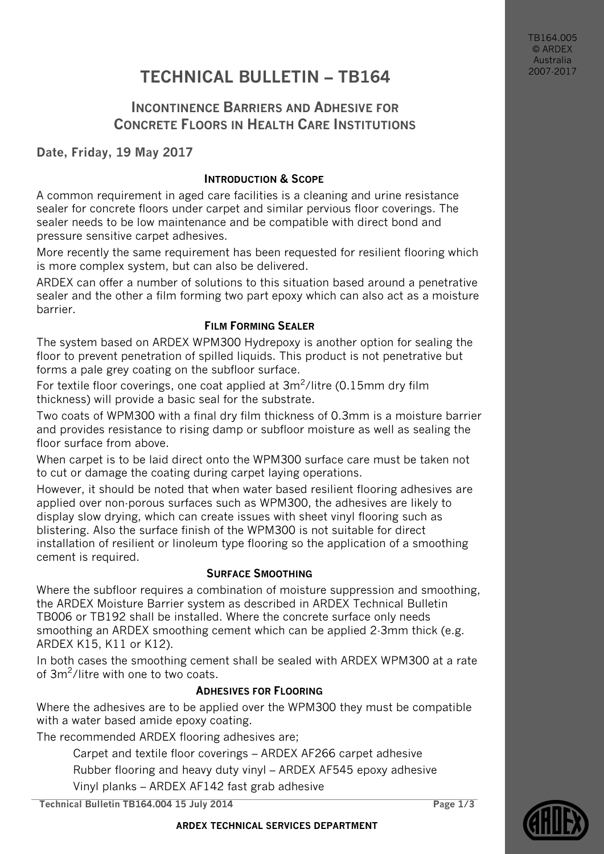TB164.005 © ARDEX Australia 2007-2017

# **TECHNICAL BULLETIN – TB164**

## **INCONTINENCE BARRIERS AND ADHESIVE FOR CONCRETE FLOORS IN HEALTH CARE INSTITUTIONS**

**Date, Friday, 19 May 2017**

#### **INTRODUCTION & SCOPE**

A common requirement in aged care facilities is a cleaning and urine resistance sealer for concrete floors under carpet and similar pervious floor coverings. The sealer needs to be low maintenance and be compatible with direct bond and pressure sensitive carpet adhesives.

More recently the same requirement has been requested for resilient flooring which is more complex system, but can also be delivered.

ARDEX can offer a number of solutions to this situation based around a penetrative sealer and the other a film forming two part epoxy which can also act as a moisture barrier.

### **FILM FORMING SEALER**

The system based on ARDEX WPM300 Hydrepoxy is another option for sealing the floor to prevent penetration of spilled liquids. This product is not penetrative but forms a pale grey coating on the subfloor surface.

For textile floor coverings, one coat applied at  $3m^2$ /litre (0.15mm dry film thickness) will provide a basic seal for the substrate.

Two coats of WPM300 with a final dry film thickness of 0.3mm is a moisture barrier and provides resistance to rising damp or subfloor moisture as well as sealing the floor surface from above.

When carpet is to be laid direct onto the WPM300 surface care must be taken not to cut or damage the coating during carpet laying operations.

However, it should be noted that when water based resilient flooring adhesives are applied over non-porous surfaces such as WPM300, the adhesives are likely to display slow drying, which can create issues with sheet vinyl flooring such as blistering. Also the surface finish of the WPM300 is not suitable for direct installation of resilient or linoleum type flooring so the application of a smoothing cement is required.

### **SURFACE SMOOTHING**

Where the subfloor requires a combination of moisture suppression and smoothing, the ARDEX Moisture Barrier system as described in ARDEX Technical Bulletin TB006 or TB192 shall be installed. Where the concrete surface only needs smoothing an ARDEX smoothing cement which can be applied 2-3mm thick (e.g. ARDEX K15, K11 or K12).

In both cases the smoothing cement shall be sealed with ARDEX WPM300 at a rate of 3m<sup>2</sup>/litre with one to two coats.

### **ADHESIVES FOR FLOORING**

Where the adhesives are to be applied over the WPM300 they must be compatible with a water based amide epoxy coating.

The recommended ARDEX flooring adhesives are;

Carpet and textile floor coverings – ARDEX AF266 carpet adhesive

Rubber flooring and heavy duty vinyl – ARDEX AF545 epoxy adhesive

Vinyl planks – ARDEX AF142 fast grab adhesive

**Technical Bulletin TB164.004 15 July 2014 Page 1/3**